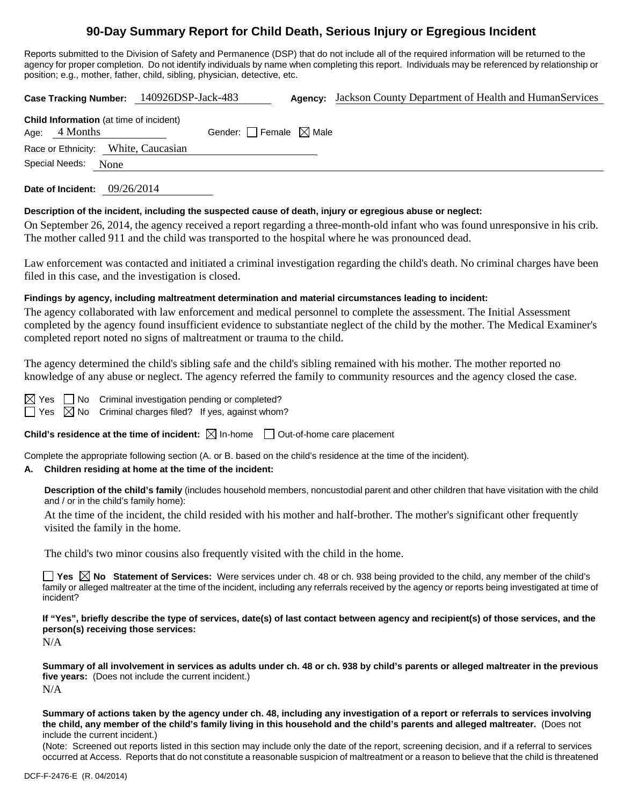# **90-Day Summary Report for Child Death, Serious Injury or Egregious Incident**

Reports submitted to the Division of Safety and Permanence (DSP) that do not include all of the required information will be returned to the agency for proper completion. Do not identify individuals by name when completing this report. Individuals may be referenced by relationship or position; e.g., mother, father, child, sibling, physician, detective, etc.

**Case Tracking Number:** 140926DSP-Jack-483 **Agency:** Jackson County Department of Health and HumanServices

| <b>Child Information</b> (at time of incident) |                                 |
|------------------------------------------------|---------------------------------|
| Age: $4$ Months                                | Gender: Female $\boxtimes$ Male |
| Race or Ethnicity: White, Caucasian            |                                 |
| Special Needs: None                            |                                 |

**Date of Incident:** 09/26/2014

## **Description of the incident, including the suspected cause of death, injury or egregious abuse or neglect:**

On September 26, 2014, the agency received a report regarding a three-month-old infant who was found unresponsive in his crib. The mother called 911 and the child was transported to the hospital where he was pronounced dead.

Law enforcement was contacted and initiated a criminal investigation regarding the child's death. No criminal charges have been filed in this case, and the investigation is closed.

## **Findings by agency, including maltreatment determination and material circumstances leading to incident:**

The agency collaborated with law enforcement and medical personnel to complete the assessment. The Initial Assessment completed by the agency found insufficient evidence to substantiate neglect of the child by the mother. The Medical Examiner's completed report noted no signs of maltreatment or trauma to the child.

The agency determined the child's sibling safe and the child's sibling remained with his mother. The mother reported no knowledge of any abuse or neglect. The agency referred the family to community resources and the agency closed the case.

 $\Box$  No Criminal investigation pending or completed?  $\boxtimes$  No Criminal charges filed? If yes, against whom?

**Child's residence at the time of incident:**  $\boxtimes$  In-home  $\Box$  Out-of-home care placement

Complete the appropriate following section (A. or B. based on the child's residence at the time of the incident).

## **A. Children residing at home at the time of the incident:**

**Description of the child's family** (includes household members, noncustodial parent and other children that have visitation with the child and / or in the child's family home):

At the time of the incident, the child resided with his mother and half-brother. The mother's significant other frequently visited the family in the home.

The child's two minor cousins also frequently visited with the child in the home.

■ Yes △ No Statement of Services: Were services under ch. 48 or ch. 938 being provided to the child, any member of the child's family or alleged maltreater at the time of the incident, including any referrals received by the agency or reports being investigated at time of incident?

**If "Yes", briefly describe the type of services, date(s) of last contact between agency and recipient(s) of those services, and the person(s) receiving those services:**

N/A

**Summary of all involvement in services as adults under ch. 48 or ch. 938 by child's parents or alleged maltreater in the previous five years:** (Does not include the current incident.) N/A

**Summary of actions taken by the agency under ch. 48, including any investigation of a report or referrals to services involving the child, any member of the child's family living in this household and the child's parents and alleged maltreater.** (Does not include the current incident.)

(Note: Screened out reports listed in this section may include only the date of the report, screening decision, and if a referral to services occurred at Access. Reports that do not constitute a reasonable suspicion of maltreatment or a reason to believe that the child is threatened